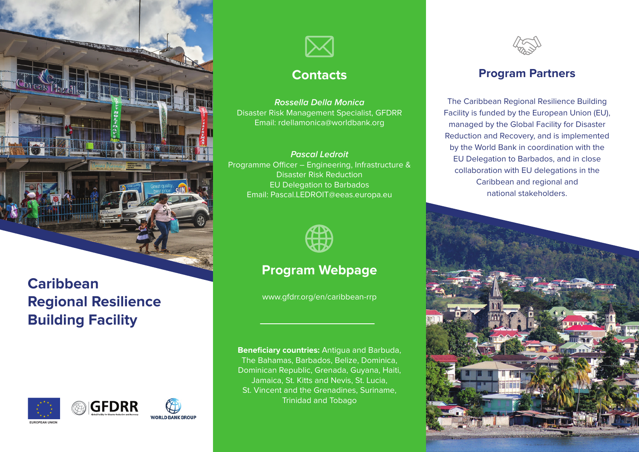

# **Caribbean Regional Resilience Building Facility**







## **Contacts**

**Rossella Della Monica** Disaster Risk Management Specialist, GFDRR Email: rdellamonica@worldbank.org

#### **Pascal Ledroit** Programme Officer – Engineering, Infrastructure & Disaster Risk Reduction EU Delegation to Barbados Email: Pascal.LEDROIT@eeas.europa.eu



# **Program Webpage**

www.gfdrr.org/en/caribbean-rrp

**Beneficiary countries:** Antigua and Barbuda, The Bahamas, Barbados, Belize, Dominica, Dominican Republic, Grenada, Guyana, Haiti, Jamaica, St. Kitts and Nevis, St. Lucia, St. Vincent and the Grenadines, Suriname, Trinidad and Tobago



### **Program Partners**

The Caribbean Regional Resilience Building Facility is funded by the European Union (EU), managed by the Global Facility for Disaster Reduction and Recovery, and is implemented by the World Bank in coordination with the EU Delegation to Barbados, and in close collaboration with EU delegations in the Caribbean and regional and national stakeholders.